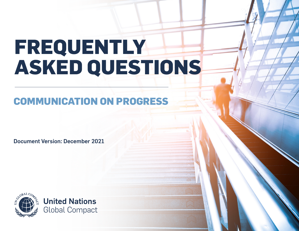# **FREQUENTLY ASKED QUESTIONS**

# **COMMUNICATION ON PROGRESS**

Document Version: December 2021

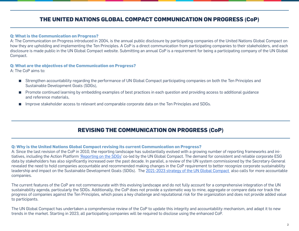# **THE UNITED NATIONS GLOBAL COMPACT COMMUNICATION ON PROGRESS (CoP)**

#### **Q: What is the Communication on Progress?**

A: The Communication on Progress introduced in 2004, is the annual public disclosure by participating companies of the United Nations Global Compact on how they are upholding and implementing the Ten Principles. A CoP is a direct communication from participating companies to their stakeholders, and each disclosure is made public in the UN Global Compact website. Submitting an annual CoP is a requirement for being a participating company of the UN Global Compact.

#### **Q: What are the objectives of the Communication on Progress?**

A: The CoP aims to:

- Strengthen accountability regarding the performance of UN Global Compact participating companies on both the Ten Principles and Sustainable Development Goals (SDGs),
- Promote continued learning by embedding examples of best practices in each question and providing access to additional quidance and reference materials,
- Improve stakeholder access to relevant and comparable corporate data on the Ten Principles and SDGs.

### **REVISING THE COMMUNICATION ON PROGRESS (CoP)**

#### **Q: Why is the United Nations Global Compact revising its current Communication on Progress?**

A: Since the last revision of the CoP in 2010, the reporting landscape has substantially evolved with a growing number of reporting frameworks and initiatives, including the Action Platform ['Reporting on the SDGs](https://www.unglobalcompact.org/take-action/action-platforms/sdg-reporting)' co-led by the UN Global Compact. The demand for consistent and reliable corporate ESG data by stakeholders has also significantly increased over the past decade. In parallel, a review of the UN system commissioned by the Secretary-General revealed the need to hold companies accountable and recommended making changes in the CoP requirement to better recognize corporate sustainability leadership and impact on the Sustainable Development Goals (SDGs). The [2021-2023 strategy of the UN Global Compact](https://unglobalcompact.org/library/5869) also calls for more accountable companies.

The current features of the CoP are not commensurate with this evolving landscape and do not fully account for a comprehensive integration of the UN sustainability agenda, particularly the SDGs. Additionally, the CoP does not provide a systematic way to mine, aggregate or compare data nor track the progress of companies against the Ten Principles, which poses a key challenge and reputational risk for the organization and does not provide added value to participants.

The UN Global Compact has undertaken a comprehensive review of the CoP to update this integrity and accountability mechanism, and adapt it to new trends in the market. Starting in 2023, all participating companies will be required to disclose using the enhanced CoP.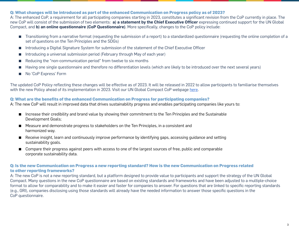#### **Q: What changes will be introduced as part of the enhanced Communication on Progress policy as of 2023?**

A: The enhanced CoP, a requirement for all participating companies starting in 2023, constitutes a significant revision from the CoP currently in place. The new CoP will consist of the submission of two elements: **a) a statement by the Chief Executive Officer** expressing continued support for the UN Global Compact, and **b) an online questionnaire (CoP Questionnaire)**. More specifically, changes to the CoP policy include:

- Transitioning from a narrative format (requesting the submission of a report) to a standardized questionnaire (requesting the online completion of a set of questions on the Ten Principles and the SDGs)
- Introducing a Digital Signature System for submission of the statement of the Chief Executive Officer
- Introducing a universal submission period (February through May of each year)
- Reducing the "non-communication period" from twelve to six months
- Having one single questionnaire and therefore no differentiation levels (which are likely to be introduced over the next several years)
- No 'CoP Express' Form

The updated CoP Policy reflecting these changes will be effective as of 2023. It will be released in 2022 to allow participants to familiarise themselves with the new Policy ahead of its implementation in 2023. Visit our UN Global Compact CoP webpage [here.](https://www.unglobalcompact.org/participation/report/cop)

#### **Q: What are the benefits of the enhanced Communication on Progress for participating companies?**

A: The new CoP will result in improved data that drives sustainability progress and enables participating companies like yours to:

- Increase their credibility and brand value by showing their commitment to the Ten Principles and the Sustainable Development Goals;
- Measure and demonstrate progress to stakeholders on the Ten Principles, in a consistent and harmonized way.
- Receive insight, learn and continuously improve performance by identifying gaps, accessing guidance and setting sustainability goals.
- Compare their progress against peers with access to one of the largest sources of free, public and comparable corporate sustainability data.

#### **Q: Is the new Communication on Progress a new reporting standard? How is the new Communication on Progress related to other reporting frameworks?**

A: The new CoP is not a new reporting standard, but a platform designed to provide value to participants and support the strategy of the UN Global Compact. Many questions in the new CoP questionnaire are based on existing standards and frameworks and have been adjusted to a multiple-choice format to allow for comparability and to make it easier and faster for companies to answer. For questions that are linked to specific reporting standards (e.g., GRI), companies disclosing using those standards will already have the needed information to answer those specific questions in the CoP questionnaire.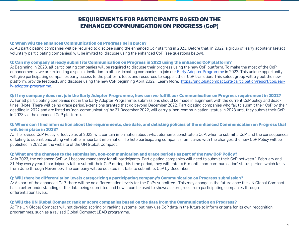## **REQUIREMENTS FOR PARTICIPANTS BASED ON THE ENHANCED COMMUNICATION ON PROGRESS (CoP)**

#### **Q: When will the enhanced Communication on Progress be in place?**

A: All participating companies will be required to disclose using the enhanced CoP starting in 2023. Before that, in 2022, a group of 'early adopters' (select voluntary participating companies) will be invited to disclose using the enhanced CoP (see questions below).

#### **Q: Can my company already submit its Communication on Progress in 2022 using the enhanced CoP platform?**

A: Beginning in 2023, all participating companies will be required to disclose their progress using the new CoP platform. To make the most of the CoP enhancements, we are extending a special invitation to all participating companies to join our [Early Adopter Programme](https://unglobalcompact.org/participation/report/cop/early-adopter-programme) in 2022. This unique opportunity will give participating companies early access to the platform, tools and resources to support their CoP transition. This select group will try out the new platform, provide feedback, and disclose using the new CoP beginning April 2022. Learn More: [https://unglobalcompact.org/participation/report/cop/ear](https://unglobalcompact.org/participation/report/cop/early-adopter-programme)[ly-adopter-programme](https://unglobalcompact.org/participation/report/cop/early-adopter-programme).

#### **Q: If my company does not join the Early Adopter Programme, how can we fulfill our Communication on Progress requirement in 2022?**

A: For all participating companies not in the Early Adopter Programme, submissions should be made in alignment with the current CoP policy and deadlines. (Note: There will be no grace period/extensions granted that go beyond December 2022. Participating companies who fail to submit their CoP by their deadline in 2022 and are listed as 'non-communicating' by 31 December 2022, will carry a 'non-communication' status in 2023 until they submit their CoP in 2023 via the enhanced CoP platform).

#### **Q: Where can I find information about the requirements, due date, and delisting policies of the enhanced Communication on Progress that will be in place in 2023?**

A: The revised CoP Policy, effective as of 2023, will contain information about what elements constitute a CoP, when to submit a CoP, and the consequences of failing to submit one, along with other important information. To help participating companies familiarize with the changes, the new CoP Policy will be published in 2022 on the website of the UN Global Compact.

#### **Q: What are the changes to the submission, non-communication and grace periods as part of the new CoP Policy?**

A: In 2023, the enhanced CoP will become mandatory for all participants. Participating companies will need to submit their CoP between 1 February and 31 May every year. If participants fail to submit their CoP during this time period, they will enter a 6-month 'non-communication' status period, which lasts from June through November. The company will be delisted if it fails to submit its CoP by December.

#### **Q: Will there be differentiation levels categorizing a participating company's Communication on Progress submission?**

A: As part of the enhanced CoP, there will be no differentiation levels for the CoPs submitted. This may change in the future once the UN Global Compact has a better understanding of the data being submitted and how it can be used to showcase progress from participating companies through differentiation levels.

#### **Q: Will the UN Global Compact rank or score companies based on the data from the Communication on Progress?**

A: The UN Global Compact will not develop scoring or ranking systems, but may use CoP data in the future to inform criteria for its own recognition programmes, such as a revised Global Compact LEAD programme.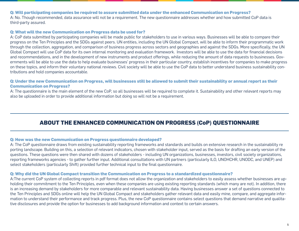#### **Q: Will participating companies be required to assure submitted data under the enhanced Communication on Progress?**

A: No. Though recommended, data assurance will not be a requirement. The new questionnaire addresses whether and how submitted CoP data is third-party assured.

#### **Q: What will the new Communication on Progress data be used for?**

A: CoP data submitted by participating companies will be made public for stakeholders to use in various ways. Businesses will be able to compare their progress on the Ten Principles and the SDGs against peers. UN entities, including the UN Global Compact, will be able to inform their programmatic work through the collection, aggregation, and comparison of business progress across sectors and geographies and against the SDGs. More specifically, the UN Global Compact will use CoP data for its own internal monitoring and evaluation framework. Investors will be able to use the data for financial decisions and recommendations, and in the development of new instruments and product offerings, while reducing the amount of data requests to businesses. Governments will be able to use the data to help evaluate businesses' progress in their particular country, establish incentives for companies to make progress on these topics, and inform their voluntary national reviews. Civil society will be able to use the CoP data to better understand business sustainability contributions and hold companies accountable.

#### **Q: Under the new Communication on Progress, will businesses still be allowed to submit their sustainability or annual report as their Communication on Progress?**

A: The questionnaire is the main element of the new CoP, so all businesses will be required to complete it. Sustainability and other relevant reports may also be uploaded in order to provide additional information but doing so will not be a requirement.

# **ABOUT THE ENHANCED COMMUNICATION ON PROGRESS (CoP) QUESTIONNAIRE**

#### **Q: How was the new Communication on Progress questionnaire developed?**

A: The CoP questionnaire draws from existing sustainability reporting frameworks and standards and builds on extensive research in the sustainability re porting landscape. Building on this, a selection of relevant indicators, chosen with stakeholder input, served as the basis for drafting an early version of the questions. These questions were then shared with dozens of stakeholders - including UN organizations, businesses, investors, civil society organizations, reporting frameworks agencies - to gather further input. Additional consultations with UN partners (particularly ILO, UNOHCHR, UNODC, and UNEP) and select stakeholders (particularly Shift) provided further technical input to the final questionnaire.

#### **Q: Why did the UN Global Compact transition the Communication on Progress to a standardized questionnaire?**

A:The current CoP system of collecting reports in pdf format does not allow the organization and stakeholders to easily assess whether businesses are upholding their commitment to the Ten Principles, even when these companies are using existing reporting standards (which many are not). In addition, there is an increasing demand by stakeholders for more comparable and relevant sustainability data. Having businesses answer a set of questions connected to the Ten Principles and SDGs online will help the UN Global Compact and stakeholders gather relevant data and easily mine, compare, and aggregate information to understand their performance and track progress. Plus, the new CoP questionnaire contains select questions that demand narrative and qualitative disclosures and provide the option for businesses to add background information and context to certain answers.